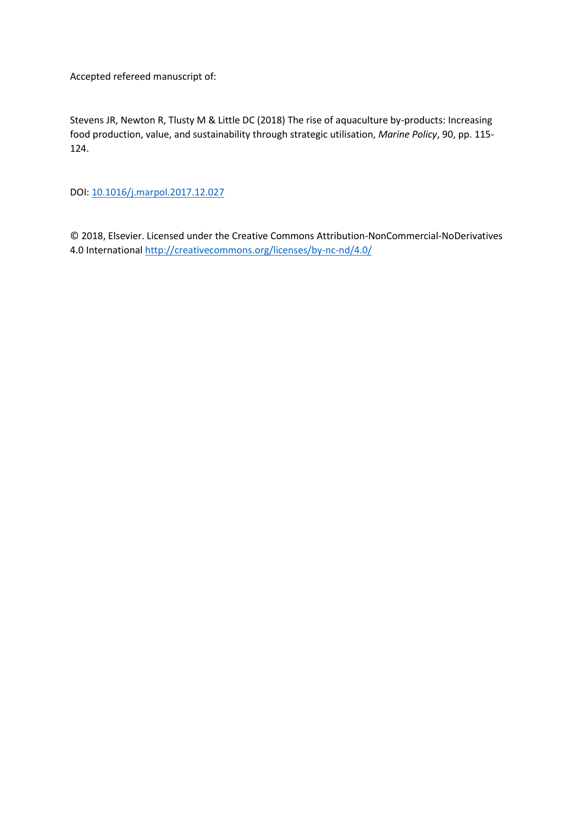Accepted refereed manuscript of:

Stevens JR, Newton R, Tlusty M & Little DC (2018) The rise of aquaculture by-products: Increasing food production, value, and sustainability through strategic utilisation, *Marine Policy*, 90, pp. 115- 124.

DOI: 10.1016/j.marpol.2017.12.027

© 2018, Elsevier. Licensed under the Creative Commons Attribution-NonCommercial-NoDerivatives 4.0 International http://creativecommons.org/licenses/by-nc-nd/4.0/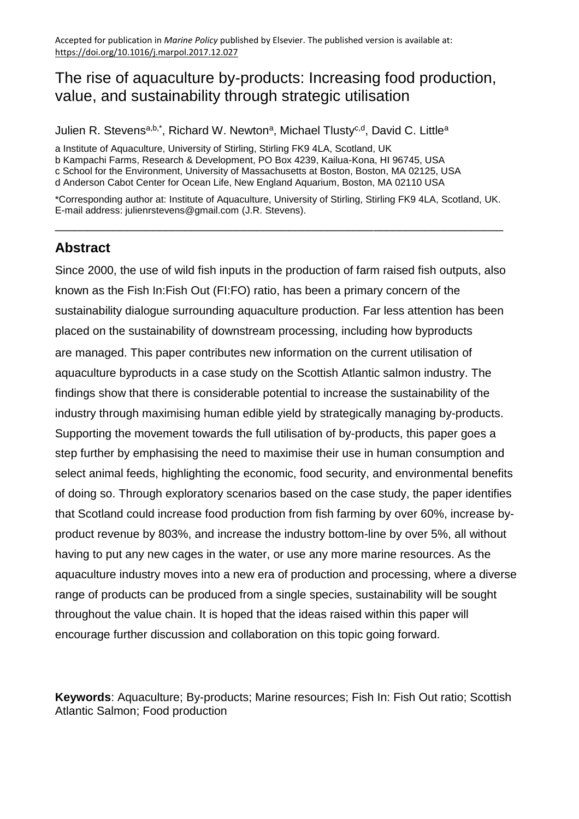# The rise of aquaculture by-products: Increasing food production, value, and sustainability through strategic utilisation

Julien R. Stevens<sup>a,b,\*</sup>, Richard W. Newton<sup>a</sup>, Michael Tlusty<sup>c,d</sup>, David C. Little<sup>a</sup>

a Institute of Aquaculture, University of Stirling, Stirling FK9 4LA, Scotland, UK b Kampachi Farms, Research & Development, PO Box 4239, Kailua-Kona, HI 96745, USA c School for the Environment, University of Massachusetts at Boston, Boston, MA 02125, USA d Anderson Cabot Center for Ocean Life, New England Aquarium, Boston, MA 02110 USA

\*Corresponding author at: Institute of Aquaculture, University of Stirling, Stirling FK9 4LA, Scotland, UK. E-mail address: julienrstevens@gmail.com (J.R. Stevens).

\_\_\_\_\_\_\_\_\_\_\_\_\_\_\_\_\_\_\_\_\_\_\_\_\_\_\_\_\_\_\_\_\_\_\_\_\_\_\_\_\_\_\_\_\_\_\_\_\_\_\_\_\_\_\_\_\_\_\_\_\_\_\_\_\_\_\_\_\_

# **Abstract**

Since 2000, the use of wild fish inputs in the production of farm raised fish outputs, also known as the Fish In:Fish Out (FI:FO) ratio, has been a primary concern of the sustainability dialogue surrounding aquaculture production. Far less attention has been placed on the sustainability of downstream processing, including how byproducts are managed. This paper contributes new information on the current utilisation of aquaculture byproducts in a case study on the Scottish Atlantic salmon industry. The findings show that there is considerable potential to increase the sustainability of the industry through maximising human edible yield by strategically managing by-products. Supporting the movement towards the full utilisation of by-products, this paper goes a step further by emphasising the need to maximise their use in human consumption and select animal feeds, highlighting the economic, food security, and environmental benefits of doing so. Through exploratory scenarios based on the case study, the paper identifies that Scotland could increase food production from fish farming by over 60%, increase byproduct revenue by 803%, and increase the industry bottom-line by over 5%, all without having to put any new cages in the water, or use any more marine resources. As the aquaculture industry moves into a new era of production and processing, where a diverse range of products can be produced from a single species, sustainability will be sought throughout the value chain. It is hoped that the ideas raised within this paper will encourage further discussion and collaboration on this topic going forward.

**Keywords**: Aquaculture; By-products; Marine resources; Fish In: Fish Out ratio; Scottish Atlantic Salmon; Food production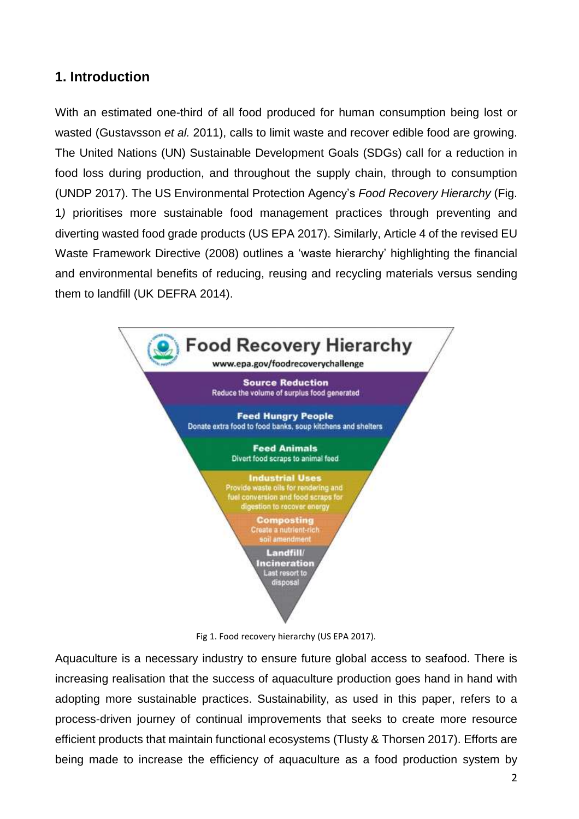# **1. Introduction**

With an estimated one-third of all food produced for human consumption being lost or wasted (Gustavsson *et al.* 2011), calls to limit waste and recover edible food are growing. The United Nations (UN) Sustainable Development Goals (SDGs) call for a reduction in food loss during production, and throughout the supply chain, through to consumption (UNDP 2017). The US Environmental Protection Agency's *Food Recovery Hierarchy* (Fig. 1*)* prioritises more sustainable food management practices through preventing and diverting wasted food grade products (US EPA 2017). Similarly, Article 4 of the revised EU Waste Framework Directive (2008) outlines a 'waste hierarchy' highlighting the financial and environmental benefits of reducing, reusing and recycling materials versus sending them to landfill (UK DEFRA 2014).



Fig 1. Food recovery hierarchy (US EPA 2017).

Aquaculture is a necessary industry to ensure future global access to seafood. There is increasing realisation that the success of aquaculture production goes hand in hand with adopting more sustainable practices. Sustainability, as used in this paper, refers to a process-driven journey of continual improvements that seeks to create more resource efficient products that maintain functional ecosystems (Tlusty & Thorsen 2017). Efforts are being made to increase the efficiency of aquaculture as a food production system by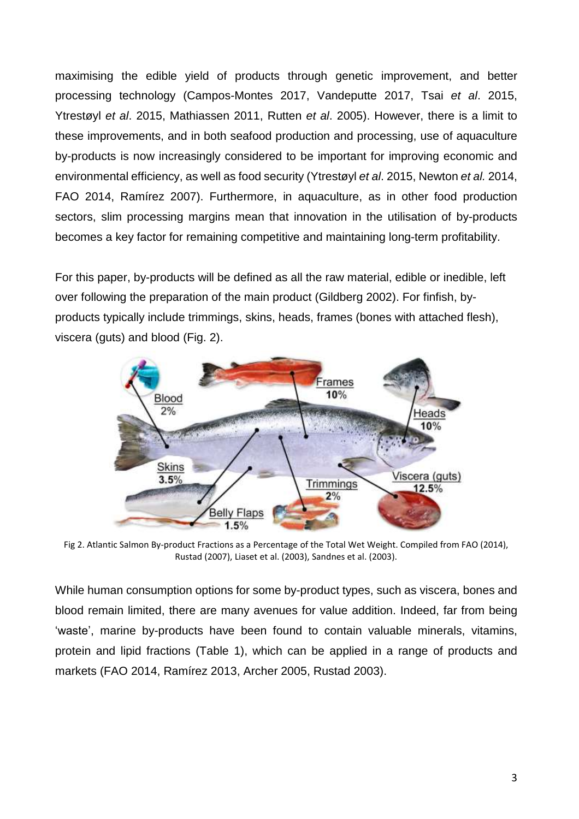maximising the edible yield of products through genetic improvement, and better processing technology (Campos-Montes 2017, Vandeputte 2017, Tsai *et al*. 2015, Ytrestøyl *et al*. 2015, Mathiassen 2011, Rutten *et al*. 2005). However, there is a limit to these improvements, and in both seafood production and processing, use of aquaculture by-products is now increasingly considered to be important for improving economic and environmental efficiency, as well as food security (Ytrestøyl *et al*. 2015, Newton *et al.* 2014, FAO 2014, Ramírez 2007). Furthermore, in aquaculture, as in other food production sectors, slim processing margins mean that innovation in the utilisation of by-products becomes a key factor for remaining competitive and maintaining long-term profitability.

For this paper, by-products will be defined as all the raw material, edible or inedible, left over following the preparation of the main product (Gildberg 2002). For finfish, byproducts typically include trimmings, skins, heads, frames (bones with attached flesh), viscera (guts) and blood (Fig. 2).



Fig 2. Atlantic Salmon By-product Fractions as a Percentage of the Total Wet Weight. Compiled from FAO (2014), Rustad (2007), Liaset et al. (2003), Sandnes et al. (2003).

While human consumption options for some by-product types, such as viscera, bones and blood remain limited, there are many avenues for value addition. Indeed, far from being 'waste', marine by-products have been found to contain valuable minerals, vitamins, protein and lipid fractions (Table 1), which can be applied in a range of products and markets (FAO 2014, Ramírez 2013, Archer 2005, Rustad 2003).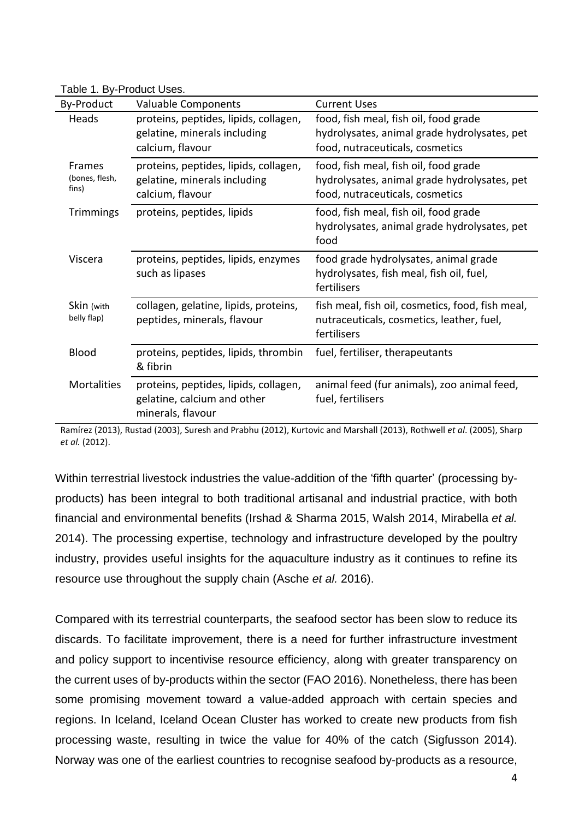Table 1. By-Product Uses.

| By-Product                        | Valuable Components                                                                       | <b>Current Uses</b>                                                                                                      |
|-----------------------------------|-------------------------------------------------------------------------------------------|--------------------------------------------------------------------------------------------------------------------------|
| Heads                             | proteins, peptides, lipids, collagen,<br>gelatine, minerals including<br>calcium, flavour | food, fish meal, fish oil, food grade<br>hydrolysates, animal grade hydrolysates, pet<br>food, nutraceuticals, cosmetics |
| Frames<br>(bones, flesh,<br>fins) | proteins, peptides, lipids, collagen,<br>gelatine, minerals including<br>calcium, flavour | food, fish meal, fish oil, food grade<br>hydrolysates, animal grade hydrolysates, pet<br>food, nutraceuticals, cosmetics |
| <b>Trimmings</b>                  | proteins, peptides, lipids                                                                | food, fish meal, fish oil, food grade<br>hydrolysates, animal grade hydrolysates, pet<br>food                            |
| Viscera                           | proteins, peptides, lipids, enzymes<br>such as lipases                                    | food grade hydrolysates, animal grade<br>hydrolysates, fish meal, fish oil, fuel,<br>fertilisers                         |
| Skin (with<br>belly flap)         | collagen, gelatine, lipids, proteins,<br>peptides, minerals, flavour                      | fish meal, fish oil, cosmetics, food, fish meal,<br>nutraceuticals, cosmetics, leather, fuel,<br>fertilisers             |
| <b>Blood</b>                      | proteins, peptides, lipids, thrombin<br>& fibrin                                          | fuel, fertiliser, therapeutants                                                                                          |
| <b>Mortalities</b>                | proteins, peptides, lipids, collagen,<br>gelatine, calcium and other<br>minerals, flavour | animal feed (fur animals), zoo animal feed,<br>fuel, fertilisers                                                         |

Ramírez (2013), Rustad (2003), Suresh and Prabhu (2012), Kurtovic and Marshall (2013), Rothwell *et al*. (2005), Sharp *et al.* (2012).

Within terrestrial livestock industries the value-addition of the 'fifth quarter' (processing byproducts) has been integral to both traditional artisanal and industrial practice, with both financial and environmental benefits (Irshad & Sharma 2015, Walsh 2014, Mirabella *et al.* 2014). The processing expertise, technology and infrastructure developed by the poultry industry, provides useful insights for the aquaculture industry as it continues to refine its resource use throughout the supply chain (Asche *et al.* 2016).

Compared with its terrestrial counterparts, the seafood sector has been slow to reduce its discards. To facilitate improvement, there is a need for further infrastructure investment and policy support to incentivise resource efficiency, along with greater transparency on the current uses of by-products within the sector (FAO 2016). Nonetheless, there has been some promising movement toward a value-added approach with certain species and regions. In Iceland, Iceland Ocean Cluster has worked to create new products from fish processing waste, resulting in twice the value for 40% of the catch (Sigfusson 2014). Norway was one of the earliest countries to recognise seafood by-products as a resource,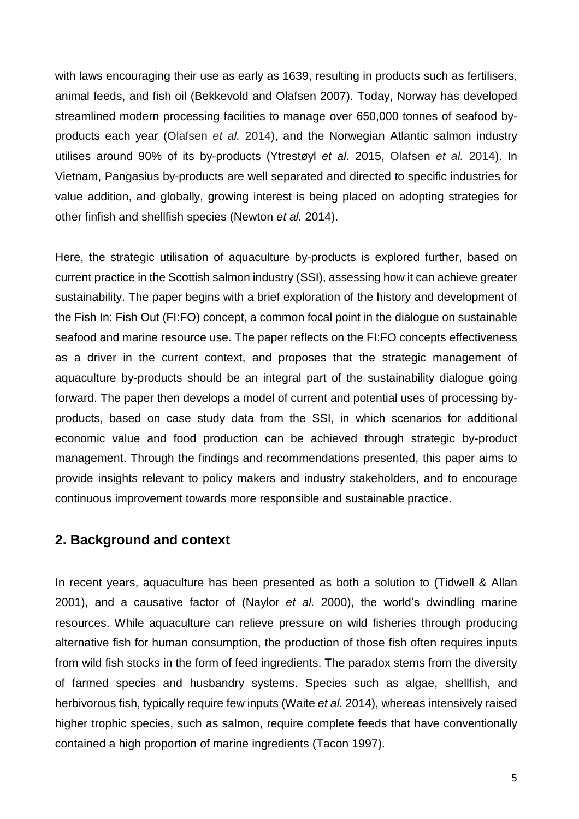with laws encouraging their use as early as 1639, resulting in products such as fertilisers, animal feeds, and fish oil (Bekkevold and Olafsen 2007). Today, Norway has developed streamlined modern processing facilities to manage over 650,000 tonnes of seafood byproducts each year (Olafsen *et al.* 2014), and the Norwegian Atlantic salmon industry utilises around 90% of its by-products (Ytrestøyl *et al*. 2015, Olafsen *et al.* 2014). In Vietnam, Pangasius by-products are well separated and directed to specific industries for value addition, and globally, growing interest is being placed on adopting strategies for other finfish and shellfish species (Newton *et al.* 2014).

Here, the strategic utilisation of aquaculture by-products is explored further, based on current practice in the Scottish salmon industry (SSI), assessing how it can achieve greater sustainability. The paper begins with a brief exploration of the history and development of the Fish In: Fish Out (FI:FO) concept, a common focal point in the dialogue on sustainable seafood and marine resource use. The paper reflects on the FI:FO concepts effectiveness as a driver in the current context, and proposes that the strategic management of aquaculture by-products should be an integral part of the sustainability dialogue going forward. The paper then develops a model of current and potential uses of processing byproducts, based on case study data from the SSI, in which scenarios for additional economic value and food production can be achieved through strategic by-product management. Through the findings and recommendations presented, this paper aims to provide insights relevant to policy makers and industry stakeholders, and to encourage continuous improvement towards more responsible and sustainable practice.

#### **2. Background and context**

In recent years, aquaculture has been presented as both a solution to (Tidwell & Allan 2001), and a causative factor of (Naylor *et al.* 2000), the world's dwindling marine resources. While aquaculture can relieve pressure on wild fisheries through producing alternative fish for human consumption, the production of those fish often requires inputs from wild fish stocks in the form of feed ingredients. The paradox stems from the diversity of farmed species and husbandry systems. Species such as algae, shellfish, and herbivorous fish, typically require few inputs (Waite *et al.* 2014), whereas intensively raised higher trophic species, such as salmon, require complete feeds that have conventionally contained a high proportion of marine ingredients (Tacon 1997).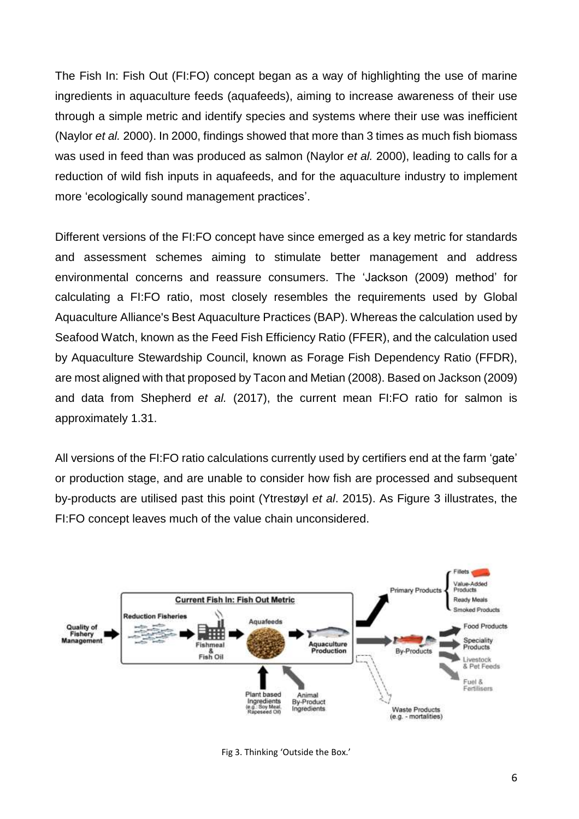The Fish In: Fish Out (FI:FO) concept began as a way of highlighting the use of marine ingredients in aquaculture feeds (aquafeeds), aiming to increase awareness of their use through a simple metric and identify species and systems where their use was inefficient (Naylor *et al.* 2000). In 2000, findings showed that more than 3 times as much fish biomass was used in feed than was produced as salmon (Naylor *et al.* 2000), leading to calls for a reduction of wild fish inputs in aquafeeds, and for the aquaculture industry to implement more 'ecologically sound management practices'.

Different versions of the FI:FO concept have since emerged as a key metric for standards and assessment schemes aiming to stimulate better management and address environmental concerns and reassure consumers. The 'Jackson (2009) method' for calculating a FI:FO ratio, most closely resembles the requirements used by Global Aquaculture Alliance's Best Aquaculture Practices (BAP). Whereas the calculation used by Seafood Watch, known as the Feed Fish Efficiency Ratio (FFER), and the calculation used by Aquaculture Stewardship Council, known as Forage Fish Dependency Ratio (FFDR), are most aligned with that proposed by Tacon and Metian (2008). Based on Jackson (2009) and data from Shepherd *et al.* (2017), the current mean FI:FO ratio for salmon is approximately 1.31.

All versions of the FI:FO ratio calculations currently used by certifiers end at the farm 'gate' or production stage, and are unable to consider how fish are processed and subsequent by-products are utilised past this point (Ytrestøyl *et al*. 2015). As Figure 3 illustrates, the FI:FO concept leaves much of the value chain unconsidered.



Fig 3. Thinking 'Outside the Box.'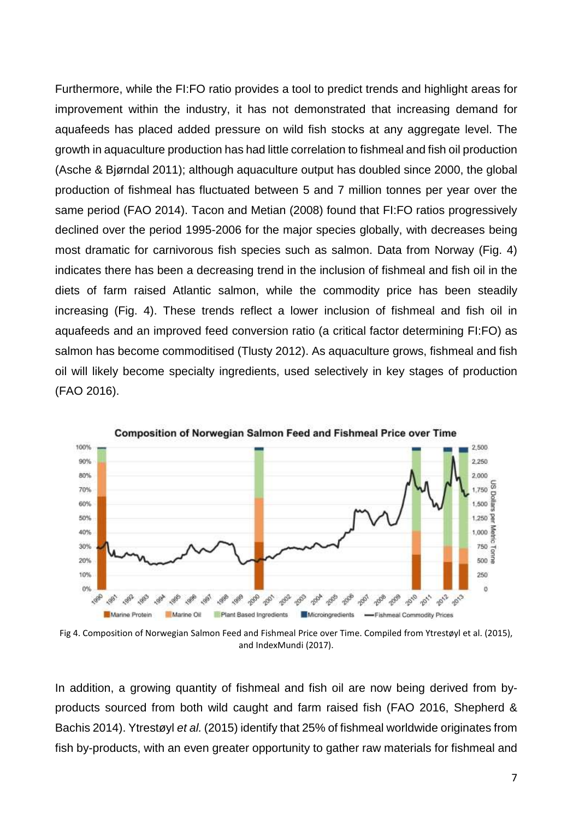Furthermore, while the FI:FO ratio provides a tool to predict trends and highlight areas for improvement within the industry, it has not demonstrated that increasing demand for aquafeeds has placed added pressure on wild fish stocks at any aggregate level. The growth in aquaculture production has had little correlation to fishmeal and fish oil production (Asche & Bjørndal 2011); although aquaculture output has doubled since 2000, the global production of fishmeal has fluctuated between 5 and 7 million tonnes per year over the same period (FAO 2014). Tacon and Metian (2008) found that FI:FO ratios progressively declined over the period 1995-2006 for the major species globally, with decreases being most dramatic for carnivorous fish species such as salmon. Data from Norway (Fig. 4) indicates there has been a decreasing trend in the inclusion of fishmeal and fish oil in the diets of farm raised Atlantic salmon, while the commodity price has been steadily increasing (Fig. 4). These trends reflect a lower inclusion of fishmeal and fish oil in aquafeeds and an improved feed conversion ratio (a critical factor determining FI:FO) as salmon has become commoditised (Tlusty 2012). As aquaculture grows, fishmeal and fish oil will likely become specialty ingredients, used selectively in key stages of production (FAO 2016).



Fig 4. Composition of Norwegian Salmon Feed and Fishmeal Price over Time. Compiled from Ytrestøyl et al. (2015), and IndexMundi (2017).

In addition, a growing quantity of fishmeal and fish oil are now being derived from byproducts sourced from both wild caught and farm raised fish (FAO 2016, Shepherd & Bachis 2014). Ytrestøyl *et al.* (2015) identify that 25% of fishmeal worldwide originates from fish by-products, with an even greater opportunity to gather raw materials for fishmeal and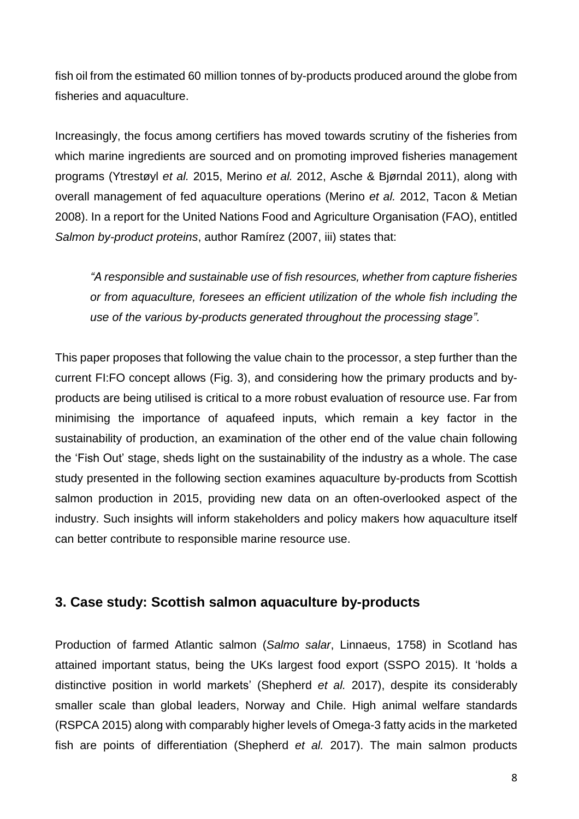fish oil from the estimated 60 million tonnes of by-products produced around the globe from fisheries and aquaculture.

Increasingly, the focus among certifiers has moved towards scrutiny of the fisheries from which marine ingredients are sourced and on promoting improved fisheries management programs (Ytrestøyl *et al.* 2015, Merino *et al.* 2012, Asche & Bjørndal 2011), along with overall management of fed aquaculture operations (Merino *et al.* 2012, Tacon & Metian 2008). In a report for the United Nations Food and Agriculture Organisation (FAO), entitled *Salmon by-product proteins*, author Ramírez (2007, iii) states that:

*"A responsible and sustainable use of fish resources, whether from capture fisheries or from aquaculture, foresees an efficient utilization of the whole fish including the use of the various by-products generated throughout the processing stage".*

This paper proposes that following the value chain to the processor, a step further than the current FI:FO concept allows (Fig. 3), and considering how the primary products and byproducts are being utilised is critical to a more robust evaluation of resource use. Far from minimising the importance of aquafeed inputs, which remain a key factor in the sustainability of production, an examination of the other end of the value chain following the 'Fish Out' stage, sheds light on the sustainability of the industry as a whole. The case study presented in the following section examines aquaculture by-products from Scottish salmon production in 2015, providing new data on an often-overlooked aspect of the industry. Such insights will inform stakeholders and policy makers how aquaculture itself can better contribute to responsible marine resource use.

### **3. Case study: Scottish salmon aquaculture by-products**

Production of farmed Atlantic salmon (*Salmo salar*, Linnaeus, 1758) in Scotland has attained important status, being the UKs largest food export (SSPO 2015). It 'holds a distinctive position in world markets' (Shepherd *et al.* 2017), despite its considerably smaller scale than global leaders, Norway and Chile. High animal welfare standards (RSPCA 2015) along with comparably higher levels of Omega-3 fatty acids in the marketed fish are points of differentiation (Shepherd *et al.* 2017). The main salmon products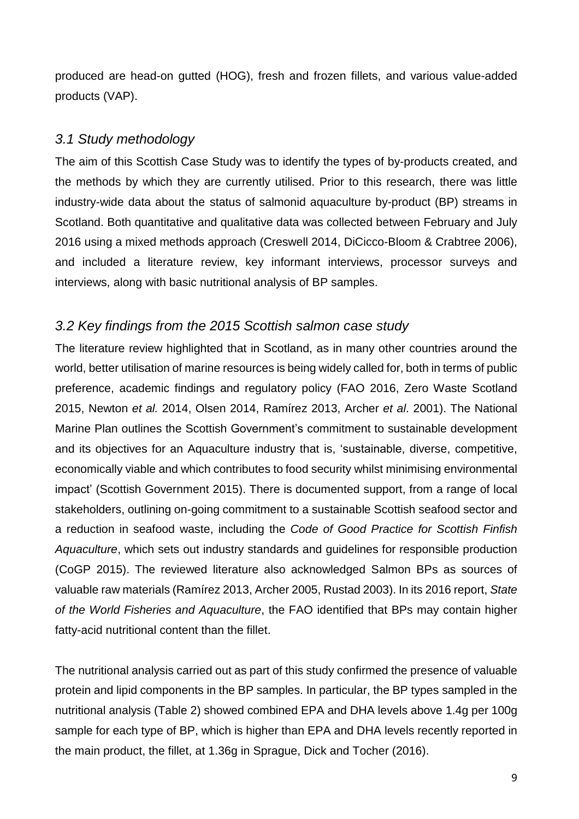produced are head-on gutted (HOG), fresh and frozen fillets, and various value-added products (VAP).

### *3.1 Study methodology*

The aim of this Scottish Case Study was to identify the types of by-products created, and the methods by which they are currently utilised. Prior to this research, there was little industry-wide data about the status of salmonid aquaculture by-product (BP) streams in Scotland. Both quantitative and qualitative data was collected between February and July 2016 using a mixed methods approach (Creswell 2014, DiCicco-Bloom & Crabtree 2006), and included a literature review, key informant interviews, processor surveys and interviews, along with basic nutritional analysis of BP samples.

# *3.2 Key findings from the 2015 Scottish salmon case study*

The literature review highlighted that in Scotland, as in many other countries around the world, better utilisation of marine resources is being widely called for, both in terms of public preference, academic findings and regulatory policy (FAO 2016, Zero Waste Scotland 2015, Newton *et al.* 2014, Olsen 2014, Ramírez 2013, Archer *et al*. 2001). The National Marine Plan outlines the Scottish Government's commitment to sustainable development and its objectives for an Aquaculture industry that is, 'sustainable, diverse, competitive, economically viable and which contributes to food security whilst minimising environmental impact' (Scottish Government 2015). There is documented support, from a range of local stakeholders, outlining on-going commitment to a sustainable Scottish seafood sector and a reduction in seafood waste, including the *Code of Good Practice for Scottish Finfish Aquaculture*, which sets out industry standards and guidelines for responsible production (CoGP 2015). The reviewed literature also acknowledged Salmon BPs as sources of valuable raw materials (Ramírez 2013, Archer 2005, Rustad 2003). In its 2016 report, *State of the World Fisheries and Aquaculture*, the FAO identified that BPs may contain higher fatty-acid nutritional content than the fillet.

The nutritional analysis carried out as part of this study confirmed the presence of valuable protein and lipid components in the BP samples. In particular, the BP types sampled in the nutritional analysis (Table 2) showed combined EPA and DHA levels above 1.4g per 100g sample for each type of BP, which is higher than EPA and DHA levels recently reported in the main product, the fillet, at 1.36g in Sprague, Dick and Tocher (2016).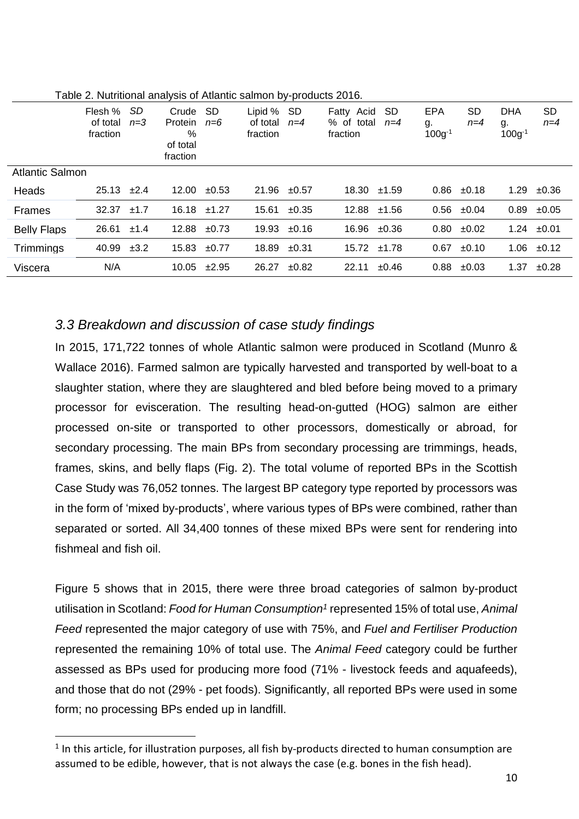|                        | Flesh %<br>of total<br>fraction | SD.<br>$n = 3$ | Crude<br>Protein<br>$\frac{0}{0}$<br>of total<br>fraction | -SD<br>$n=6$   | Lipid % SD<br>of total<br>fraction | $n=4$      | Fatty Acid<br>% of total<br>fraction | SD.<br>$n=4$ | EPA<br>g.<br>$100g^{-1}$ | <b>SD</b><br>$n=4$ | <b>DHA</b><br>g.<br>$100g^{-1}$ | <b>SD</b><br>$n=4$ |
|------------------------|---------------------------------|----------------|-----------------------------------------------------------|----------------|------------------------------------|------------|--------------------------------------|--------------|--------------------------|--------------------|---------------------------------|--------------------|
| <b>Atlantic Salmon</b> |                                 |                |                                                           |                |                                    |            |                                      |              |                          |                    |                                 |                    |
| Heads                  | $25.13 \pm 2.4$                 |                | 12.00                                                     | ±0.53          | 21.96                              | $\pm 0.57$ | $18.30 + 1.59$                       |              | 0.86                     | $\pm 0.18$         | 1.29                            | ±0.36              |
| Frames                 | 32.37                           | ±1.7           |                                                           | $16.18 + 1.27$ | 15.61                              | ±0.35      | $12.88 + 1.56$                       |              | 0.56                     | $\pm 0.04$         | 0.89                            | ±0.05              |
| <b>Belly Flaps</b>     | 26.61                           | ±1.4           | 12.88                                                     | $\pm 0.73$     | 19.93                              | ±0.16      | $16.96 \pm 0.36$                     |              | 0.80                     | ±0.02              | 1.24                            | ±0.01              |
| Trimmings              | 40.99                           | ±3.2           | 15.83                                                     | ±0.77          | 18.89                              | $\pm 0.31$ | $15.72 \pm 1.78$                     |              | 0.67                     | ±0.10              | 1.06                            | $\pm 0.12$         |
| Viscera                | N/A                             |                | 10.05                                                     | ±2.95          | 26.27                              | ±0.82      | 22.11                                | ±0.46        | 0.88                     | ±0.03              | 1.37                            | ±0.28              |

Table 2. Nutritional analysis of Atlantic salmon by-products 2016.

### *3.3 Breakdown and discussion of case study findings*

In 2015, 171,722 tonnes of whole Atlantic salmon were produced in Scotland (Munro & Wallace 2016). Farmed salmon are typically harvested and transported by well-boat to a slaughter station, where they are slaughtered and bled before being moved to a primary processor for evisceration. The resulting head-on-gutted (HOG) salmon are either processed on-site or transported to other processors, domestically or abroad, for secondary processing. The main BPs from secondary processing are trimmings, heads, frames, skins, and belly flaps (Fig. 2). The total volume of reported BPs in the Scottish Case Study was 76,052 tonnes. The largest BP category type reported by processors was in the form of 'mixed by-products', where various types of BPs were combined, rather than separated or sorted. All 34,400 tonnes of these mixed BPs were sent for rendering into fishmeal and fish oil.

Figure 5 shows that in 2015, there were three broad categories of salmon by-product utilisation in Scotland: *Food for Human Consumption<sup>1</sup>* represented 15% of total use, *Animal Feed* represented the major category of use with 75%, and *Fuel and Fertiliser Production* represented the remaining 10% of total use. The *Animal Feed* category could be further assessed as BPs used for producing more food (71% - livestock feeds and aquafeeds), and those that do not (29% - pet foods). Significantly, all reported BPs were used in some form; no processing BPs ended up in landfill.

 $\overline{a}$ 

 $<sup>1</sup>$  In this article, for illustration purposes, all fish by-products directed to human consumption are</sup> assumed to be edible, however, that is not always the case (e.g. bones in the fish head).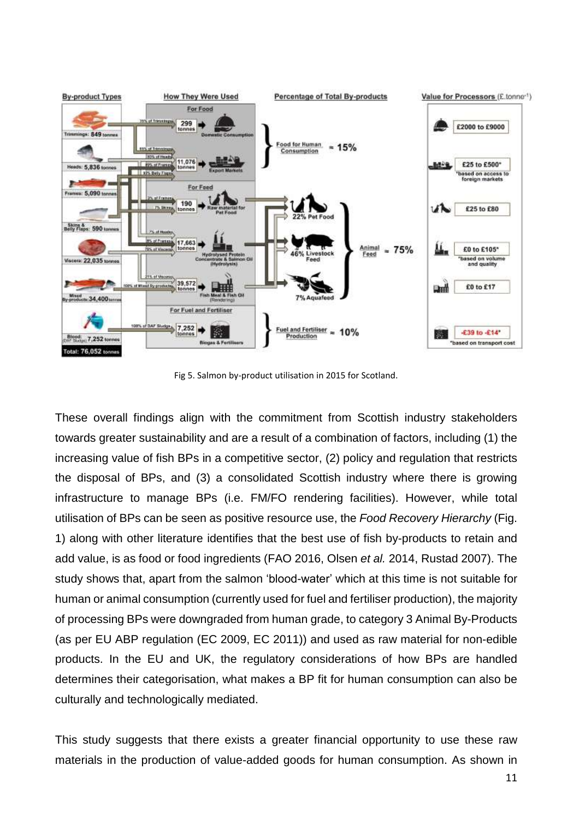

Fig 5. Salmon by-product utilisation in 2015 for Scotland.

These overall findings align with the commitment from Scottish industry stakeholders towards greater sustainability and are a result of a combination of factors, including (1) the increasing value of fish BPs in a competitive sector, (2) policy and regulation that restricts the disposal of BPs, and (3) a consolidated Scottish industry where there is growing infrastructure to manage BPs (i.e. FM/FO rendering facilities). However, while total utilisation of BPs can be seen as positive resource use, the *Food Recovery Hierarchy* (Fig. 1) along with other literature identifies that the best use of fish by-products to retain and add value, is as food or food ingredients (FAO 2016, Olsen *et al.* 2014, Rustad 2007). The study shows that, apart from the salmon 'blood-water' which at this time is not suitable for human or animal consumption (currently used for fuel and fertiliser production), the majority of processing BPs were downgraded from human grade, to category 3 Animal By-Products (as per EU ABP regulation (EC 2009, EC 2011)) and used as raw material for non-edible products. In the EU and UK, the regulatory considerations of how BPs are handled determines their categorisation, what makes a BP fit for human consumption can also be culturally and technologically mediated.

This study suggests that there exists a greater financial opportunity to use these raw materials in the production of value-added goods for human consumption. As shown in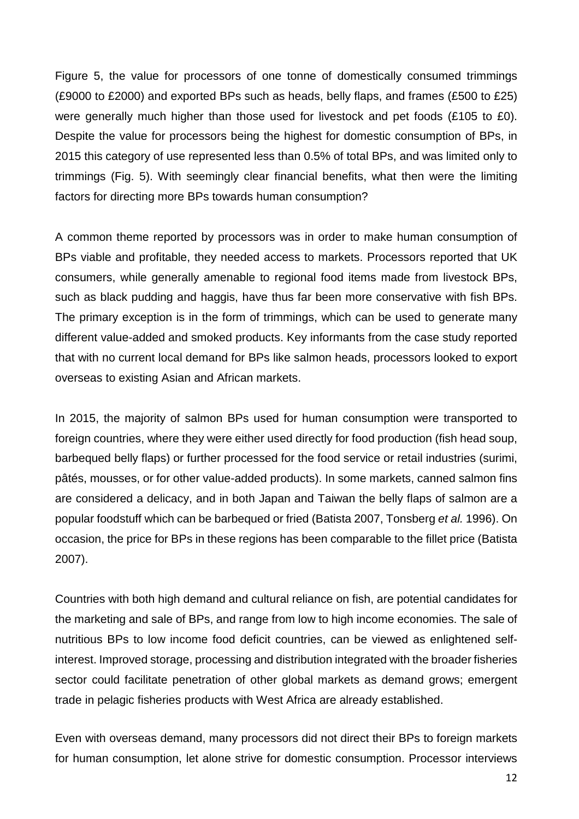Figure 5, the value for processors of one tonne of domestically consumed trimmings (£9000 to £2000) and exported BPs such as heads, belly flaps, and frames (£500 to £25) were generally much higher than those used for livestock and pet foods (£105 to £0). Despite the value for processors being the highest for domestic consumption of BPs, in 2015 this category of use represented less than 0.5% of total BPs, and was limited only to trimmings (Fig. 5). With seemingly clear financial benefits, what then were the limiting factors for directing more BPs towards human consumption?

A common theme reported by processors was in order to make human consumption of BPs viable and profitable, they needed access to markets. Processors reported that UK consumers, while generally amenable to regional food items made from livestock BPs, such as black pudding and haggis, have thus far been more conservative with fish BPs. The primary exception is in the form of trimmings, which can be used to generate many different value-added and smoked products. Key informants from the case study reported that with no current local demand for BPs like salmon heads, processors looked to export overseas to existing Asian and African markets.

In 2015, the majority of salmon BPs used for human consumption were transported to foreign countries, where they were either used directly for food production (fish head soup, barbequed belly flaps) or further processed for the food service or retail industries (surimi, pâtés, mousses, or for other value-added products). In some markets, canned salmon fins are considered a delicacy, and in both Japan and Taiwan the belly flaps of salmon are a popular foodstuff which can be barbequed or fried (Batista 2007, Tonsberg *et al.* 1996). On occasion, the price for BPs in these regions has been comparable to the fillet price (Batista 2007).

Countries with both high demand and cultural reliance on fish, are potential candidates for the marketing and sale of BPs, and range from low to high income economies. The sale of nutritious BPs to low income food deficit countries, can be viewed as enlightened selfinterest. Improved storage, processing and distribution integrated with the broader fisheries sector could facilitate penetration of other global markets as demand grows; emergent trade in pelagic fisheries products with West Africa are already established.

Even with overseas demand, many processors did not direct their BPs to foreign markets for human consumption, let alone strive for domestic consumption. Processor interviews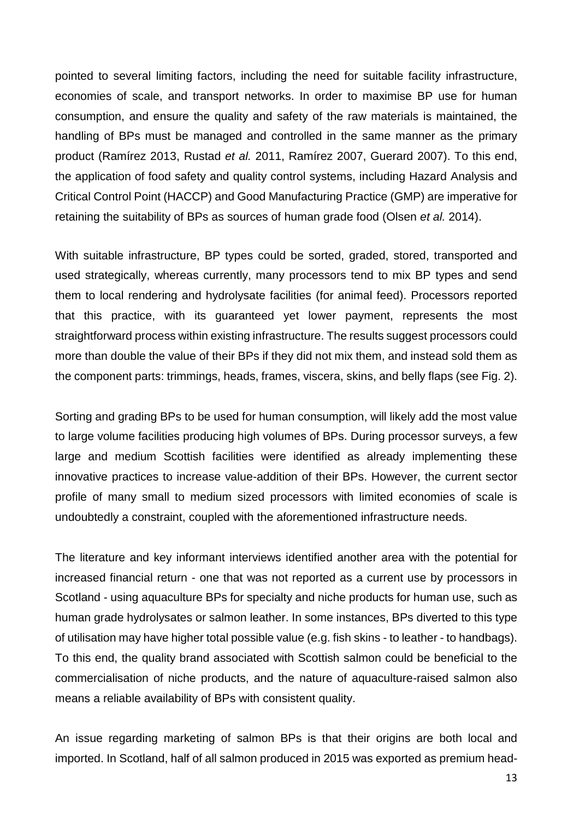pointed to several limiting factors, including the need for suitable facility infrastructure, economies of scale, and transport networks. In order to maximise BP use for human consumption, and ensure the quality and safety of the raw materials is maintained, the handling of BPs must be managed and controlled in the same manner as the primary product (Ramírez 2013, Rustad *et al.* 2011, Ramírez 2007, Guerard 2007). To this end, the application of food safety and quality control systems, including Hazard Analysis and Critical Control Point (HACCP) and Good Manufacturing Practice (GMP) are imperative for retaining the suitability of BPs as sources of human grade food (Olsen *et al.* 2014).

With suitable infrastructure, BP types could be sorted, graded, stored, transported and used strategically, whereas currently, many processors tend to mix BP types and send them to local rendering and hydrolysate facilities (for animal feed). Processors reported that this practice, with its guaranteed yet lower payment, represents the most straightforward process within existing infrastructure. The results suggest processors could more than double the value of their BPs if they did not mix them, and instead sold them as the component parts: trimmings, heads, frames, viscera, skins, and belly flaps (see Fig. 2).

Sorting and grading BPs to be used for human consumption, will likely add the most value to large volume facilities producing high volumes of BPs. During processor surveys, a few large and medium Scottish facilities were identified as already implementing these innovative practices to increase value-addition of their BPs. However, the current sector profile of many small to medium sized processors with limited economies of scale is undoubtedly a constraint, coupled with the aforementioned infrastructure needs.

The literature and key informant interviews identified another area with the potential for increased financial return - one that was not reported as a current use by processors in Scotland - using aquaculture BPs for specialty and niche products for human use, such as human grade hydrolysates or salmon leather. In some instances, BPs diverted to this type of utilisation may have higher total possible value (e.g. fish skins - to leather - to handbags). To this end, the quality brand associated with Scottish salmon could be beneficial to the commercialisation of niche products, and the nature of aquaculture-raised salmon also means a reliable availability of BPs with consistent quality.

An issue regarding marketing of salmon BPs is that their origins are both local and imported. In Scotland, half of all salmon produced in 2015 was exported as premium head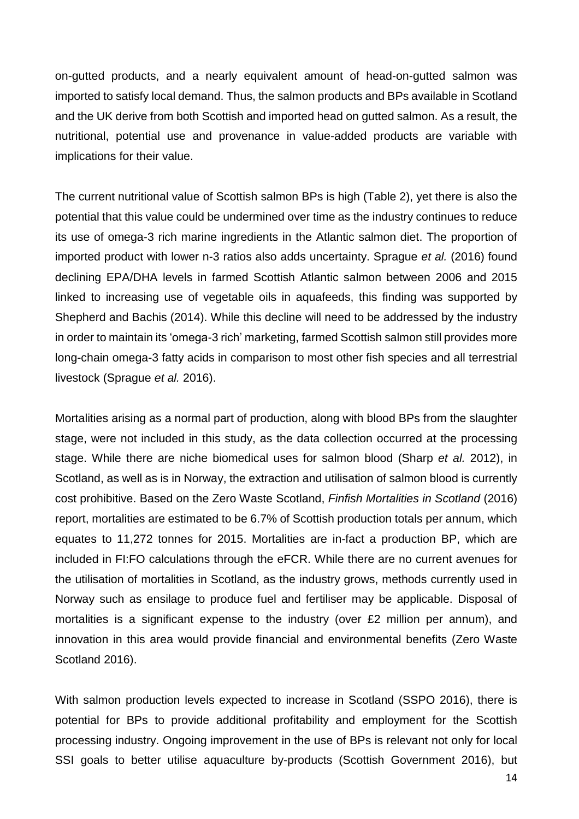on-gutted products, and a nearly equivalent amount of head-on-gutted salmon was imported to satisfy local demand. Thus, the salmon products and BPs available in Scotland and the UK derive from both Scottish and imported head on gutted salmon. As a result, the nutritional, potential use and provenance in value-added products are variable with implications for their value.

The current nutritional value of Scottish salmon BPs is high (Table 2), yet there is also the potential that this value could be undermined over time as the industry continues to reduce its use of omega-3 rich marine ingredients in the Atlantic salmon diet. The proportion of imported product with lower n-3 ratios also adds uncertainty. Sprague *et al.* (2016) found declining EPA/DHA levels in farmed Scottish Atlantic salmon between 2006 and 2015 linked to increasing use of vegetable oils in aquafeeds, this finding was supported by Shepherd and Bachis (2014). While this decline will need to be addressed by the industry in order to maintain its 'omega-3 rich' marketing, farmed Scottish salmon still provides more long-chain omega-3 fatty acids in comparison to most other fish species and all terrestrial livestock (Sprague *et al.* 2016).

Mortalities arising as a normal part of production, along with blood BPs from the slaughter stage, were not included in this study, as the data collection occurred at the processing stage. While there are niche biomedical uses for salmon blood (Sharp *et al.* 2012), in Scotland, as well as is in Norway, the extraction and utilisation of salmon blood is currently cost prohibitive. Based on the Zero Waste Scotland, *Finfish Mortalities in Scotland* (2016) report, mortalities are estimated to be 6.7% of Scottish production totals per annum, which equates to 11,272 tonnes for 2015. Mortalities are in-fact a production BP, which are included in FI:FO calculations through the eFCR. While there are no current avenues for the utilisation of mortalities in Scotland, as the industry grows, methods currently used in Norway such as ensilage to produce fuel and fertiliser may be applicable. Disposal of mortalities is a significant expense to the industry (over £2 million per annum), and innovation in this area would provide financial and environmental benefits (Zero Waste Scotland 2016).

With salmon production levels expected to increase in Scotland (SSPO 2016), there is potential for BPs to provide additional profitability and employment for the Scottish processing industry. Ongoing improvement in the use of BPs is relevant not only for local SSI goals to better utilise aquaculture by-products (Scottish Government 2016), but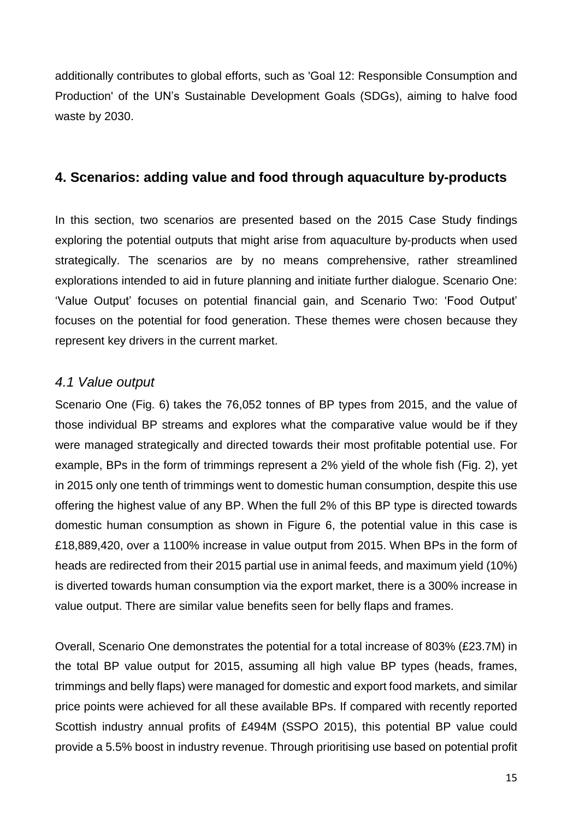additionally contributes to global efforts, such as 'Goal 12: Responsible Consumption and Production' of the UN's Sustainable Development Goals (SDGs), aiming to halve food waste by 2030.

#### **4. Scenarios: adding value and food through aquaculture by-products**

In this section, two scenarios are presented based on the 2015 Case Study findings exploring the potential outputs that might arise from aquaculture by-products when used strategically. The scenarios are by no means comprehensive, rather streamlined explorations intended to aid in future planning and initiate further dialogue. Scenario One: 'Value Output' focuses on potential financial gain, and Scenario Two: 'Food Output' focuses on the potential for food generation. These themes were chosen because they represent key drivers in the current market.

#### *4.1 Value output*

Scenario One (Fig. 6) takes the 76,052 tonnes of BP types from 2015, and the value of those individual BP streams and explores what the comparative value would be if they were managed strategically and directed towards their most profitable potential use. For example, BPs in the form of trimmings represent a 2% yield of the whole fish (Fig. 2), yet in 2015 only one tenth of trimmings went to domestic human consumption, despite this use offering the highest value of any BP. When the full 2% of this BP type is directed towards domestic human consumption as shown in Figure 6, the potential value in this case is £18,889,420, over a 1100% increase in value output from 2015. When BPs in the form of heads are redirected from their 2015 partial use in animal feeds, and maximum yield (10%) is diverted towards human consumption via the export market, there is a 300% increase in value output. There are similar value benefits seen for belly flaps and frames.

Overall, Scenario One demonstrates the potential for a total increase of 803% (£23.7M) in the total BP value output for 2015, assuming all high value BP types (heads, frames, trimmings and belly flaps) were managed for domestic and export food markets, and similar price points were achieved for all these available BPs. If compared with recently reported Scottish industry annual profits of £494M (SSPO 2015), this potential BP value could provide a 5.5% boost in industry revenue. Through prioritising use based on potential profit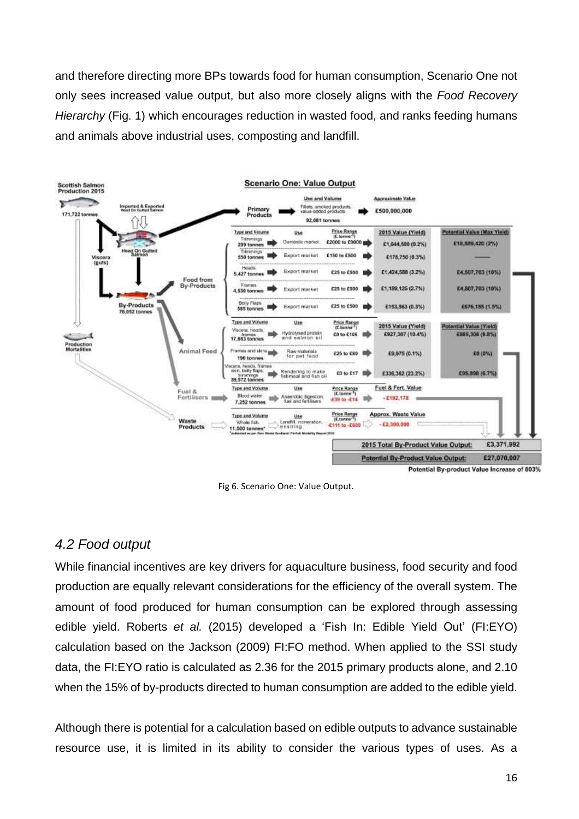and therefore directing more BPs towards food for human consumption, Scenario One not only sees increased value output, but also more closely aligns with the *Food Recovery Hierarchy* (Fig. 1) which encourages reduction in wasted food, and ranks feeding humans and animals above industrial uses, composting and landfill.



Fig 6. Scenario One: Value Output.

# *4.2 Food output*

While financial incentives are key drivers for aquaculture business, food security and food production are equally relevant considerations for the efficiency of the overall system. The amount of food produced for human consumption can be explored through assessing edible yield. Roberts *et al.* (2015) developed a 'Fish In: Edible Yield Out' (FI:EYO) calculation based on the Jackson (2009) FI:FO method. When applied to the SSI study data, the FI:EYO ratio is calculated as 2.36 for the 2015 primary products alone, and 2.10 when the 15% of by-products directed to human consumption are added to the edible yield.

Although there is potential for a calculation based on edible outputs to advance sustainable resource use, it is limited in its ability to consider the various types of uses. As a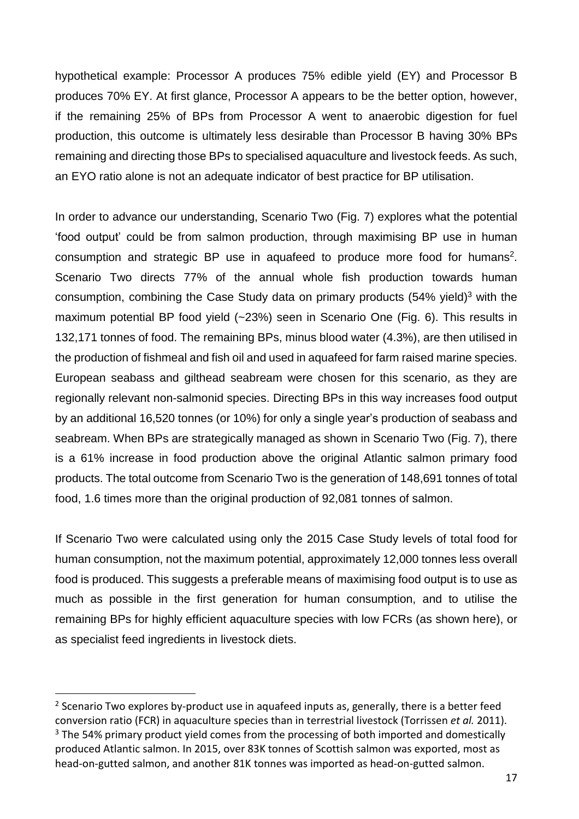hypothetical example: Processor A produces 75% edible yield (EY) and Processor B produces 70% EY. At first glance, Processor A appears to be the better option, however, if the remaining 25% of BPs from Processor A went to anaerobic digestion for fuel production, this outcome is ultimately less desirable than Processor B having 30% BPs remaining and directing those BPs to specialised aquaculture and livestock feeds. As such, an EYO ratio alone is not an adequate indicator of best practice for BP utilisation.

In order to advance our understanding, Scenario Two (Fig. 7) explores what the potential 'food output' could be from salmon production, through maximising BP use in human consumption and strategic BP use in aquafeed to produce more food for humans<sup>2</sup>. Scenario Two directs 77% of the annual whole fish production towards human consumption, combining the Case Study data on primary products  $(54\%$  yield)<sup>3</sup> with the maximum potential BP food yield (~23%) seen in Scenario One (Fig. 6). This results in 132,171 tonnes of food. The remaining BPs, minus blood water (4.3%), are then utilised in the production of fishmeal and fish oil and used in aquafeed for farm raised marine species. European seabass and gilthead seabream were chosen for this scenario, as they are regionally relevant non-salmonid species. Directing BPs in this way increases food output by an additional 16,520 tonnes (or 10%) for only a single year's production of seabass and seabream. When BPs are strategically managed as shown in Scenario Two (Fig. 7), there is a 61% increase in food production above the original Atlantic salmon primary food products. The total outcome from Scenario Two is the generation of 148,691 tonnes of total food, 1.6 times more than the original production of 92,081 tonnes of salmon.

If Scenario Two were calculated using only the 2015 Case Study levels of total food for human consumption, not the maximum potential, approximately 12,000 tonnes less overall food is produced. This suggests a preferable means of maximising food output is to use as much as possible in the first generation for human consumption, and to utilise the remaining BPs for highly efficient aquaculture species with low FCRs (as shown here), or as specialist feed ingredients in livestock diets.

 $\overline{a}$ 

<sup>&</sup>lt;sup>2</sup> Scenario Two explores by-product use in aquafeed inputs as, generally, there is a better feed conversion ratio (FCR) in aquaculture species than in terrestrial livestock (Torrissen *et al.* 2011).  $3$  The 54% primary product yield comes from the processing of both imported and domestically produced Atlantic salmon. In 2015, over 83K tonnes of Scottish salmon was exported, most as head-on-gutted salmon, and another 81K tonnes was imported as head-on-gutted salmon.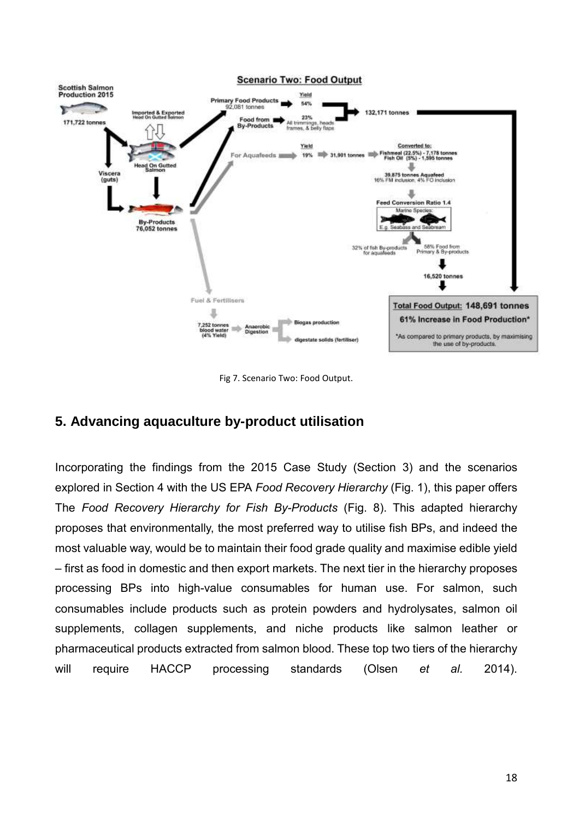

Fig 7. Scenario Two: Food Output.

# **5. Advancing aquaculture by-product utilisation**

Incorporating the findings from the 2015 Case Study (Section 3) and the scenarios explored in Section 4 with the US EPA *Food Recovery Hierarchy* (Fig. 1), this paper offers The *Food Recovery Hierarchy for Fish By-Products* (Fig. 8). This adapted hierarchy proposes that environmentally, the most preferred way to utilise fish BPs, and indeed the most valuable way, would be to maintain their food grade quality and maximise edible yield – first as food in domestic and then export markets. The next tier in the hierarchy proposes processing BPs into high-value consumables for human use. For salmon, such consumables include products such as protein powders and hydrolysates, salmon oil supplements, collagen supplements, and niche products like salmon leather or pharmaceutical products extracted from salmon blood. These top two tiers of the hierarchy will require HACCP processing standards (Olsen *et al.* 2014).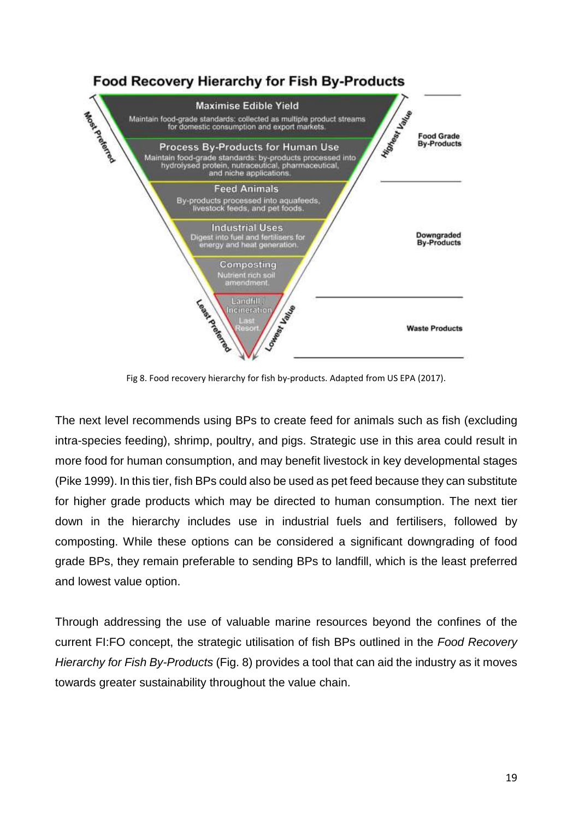

Fig 8. Food recovery hierarchy for fish by-products. Adapted from US EPA (2017).

The next level recommends using BPs to create feed for animals such as fish (excluding intra-species feeding), shrimp, poultry, and pigs. Strategic use in this area could result in more food for human consumption, and may benefit livestock in key developmental stages (Pike 1999). In this tier, fish BPs could also be used as pet feed because they can substitute for higher grade products which may be directed to human consumption. The next tier down in the hierarchy includes use in industrial fuels and fertilisers, followed by composting. While these options can be considered a significant downgrading of food grade BPs, they remain preferable to sending BPs to landfill, which is the least preferred and lowest value option.

Through addressing the use of valuable marine resources beyond the confines of the current FI:FO concept, the strategic utilisation of fish BPs outlined in the *Food Recovery Hierarchy for Fish By-Products* (Fig. 8) provides a tool that can aid the industry as it moves towards greater sustainability throughout the value chain.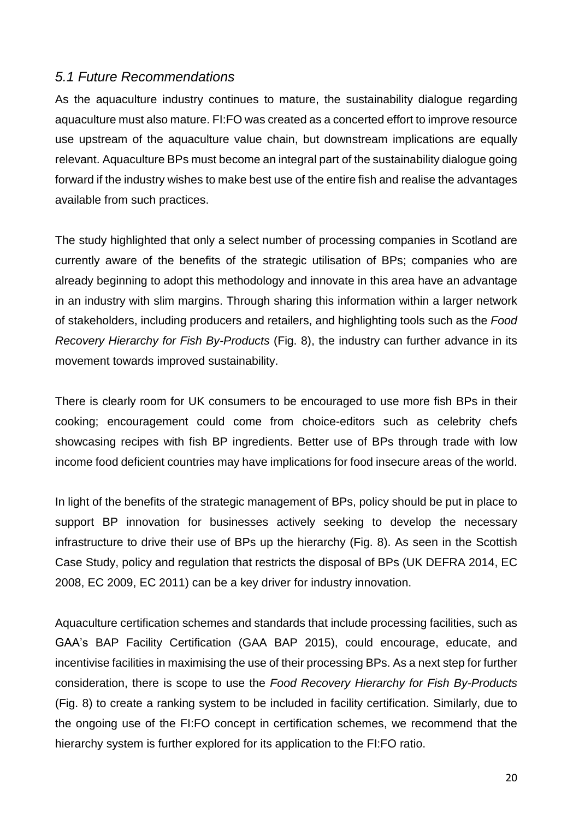### *5.1 Future Recommendations*

As the aquaculture industry continues to mature, the sustainability dialogue regarding aquaculture must also mature. FI:FO was created as a concerted effort to improve resource use upstream of the aquaculture value chain, but downstream implications are equally relevant. Aquaculture BPs must become an integral part of the sustainability dialogue going forward if the industry wishes to make best use of the entire fish and realise the advantages available from such practices.

The study highlighted that only a select number of processing companies in Scotland are currently aware of the benefits of the strategic utilisation of BPs; companies who are already beginning to adopt this methodology and innovate in this area have an advantage in an industry with slim margins. Through sharing this information within a larger network of stakeholders, including producers and retailers, and highlighting tools such as the *Food Recovery Hierarchy for Fish By-Products* (Fig. 8), the industry can further advance in its movement towards improved sustainability.

There is clearly room for UK consumers to be encouraged to use more fish BPs in their cooking; encouragement could come from choice-editors such as celebrity chefs showcasing recipes with fish BP ingredients. Better use of BPs through trade with low income food deficient countries may have implications for food insecure areas of the world.

In light of the benefits of the strategic management of BPs, policy should be put in place to support BP innovation for businesses actively seeking to develop the necessary infrastructure to drive their use of BPs up the hierarchy (Fig. 8). As seen in the Scottish Case Study, policy and regulation that restricts the disposal of BPs (UK DEFRA 2014, EC 2008, EC 2009, EC 2011) can be a key driver for industry innovation.

Aquaculture certification schemes and standards that include processing facilities, such as GAA's BAP Facility Certification (GAA BAP 2015), could encourage, educate, and incentivise facilities in maximising the use of their processing BPs. As a next step for further consideration, there is scope to use the *Food Recovery Hierarchy for Fish By-Products* (Fig. 8) to create a ranking system to be included in facility certification. Similarly, due to the ongoing use of the FI:FO concept in certification schemes, we recommend that the hierarchy system is further explored for its application to the FI:FO ratio.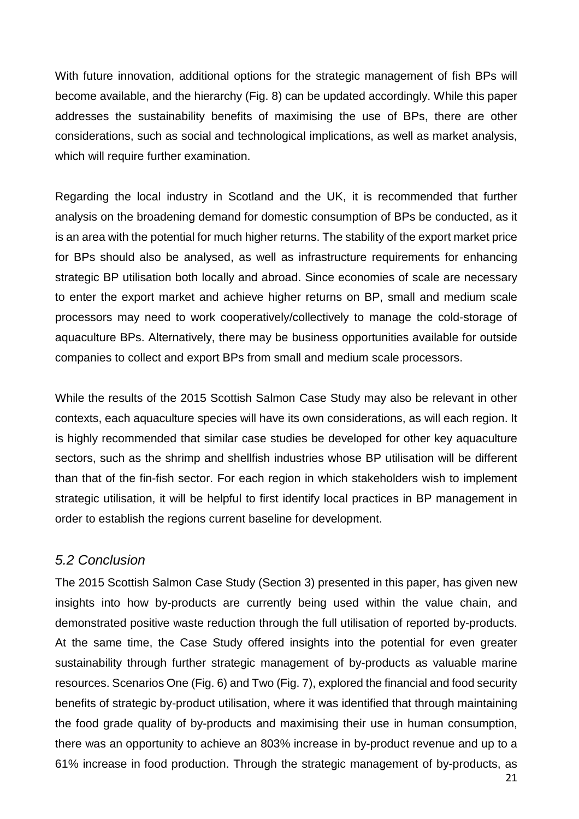With future innovation, additional options for the strategic management of fish BPs will become available, and the hierarchy (Fig. 8) can be updated accordingly. While this paper addresses the sustainability benefits of maximising the use of BPs, there are other considerations, such as social and technological implications, as well as market analysis, which will require further examination.

Regarding the local industry in Scotland and the UK, it is recommended that further analysis on the broadening demand for domestic consumption of BPs be conducted, as it is an area with the potential for much higher returns. The stability of the export market price for BPs should also be analysed, as well as infrastructure requirements for enhancing strategic BP utilisation both locally and abroad. Since economies of scale are necessary to enter the export market and achieve higher returns on BP, small and medium scale processors may need to work cooperatively/collectively to manage the cold-storage of aquaculture BPs. Alternatively, there may be business opportunities available for outside companies to collect and export BPs from small and medium scale processors.

While the results of the 2015 Scottish Salmon Case Study may also be relevant in other contexts, each aquaculture species will have its own considerations, as will each region. It is highly recommended that similar case studies be developed for other key aquaculture sectors, such as the shrimp and shellfish industries whose BP utilisation will be different than that of the fin-fish sector. For each region in which stakeholders wish to implement strategic utilisation, it will be helpful to first identify local practices in BP management in order to establish the regions current baseline for development.

#### *5.2 Conclusion*

The 2015 Scottish Salmon Case Study (Section 3) presented in this paper, has given new insights into how by-products are currently being used within the value chain, and demonstrated positive waste reduction through the full utilisation of reported by-products. At the same time, the Case Study offered insights into the potential for even greater sustainability through further strategic management of by-products as valuable marine resources. Scenarios One (Fig. 6) and Two (Fig. 7), explored the financial and food security benefits of strategic by-product utilisation, where it was identified that through maintaining the food grade quality of by-products and maximising their use in human consumption, there was an opportunity to achieve an 803% increase in by-product revenue and up to a 61% increase in food production. Through the strategic management of by-products, as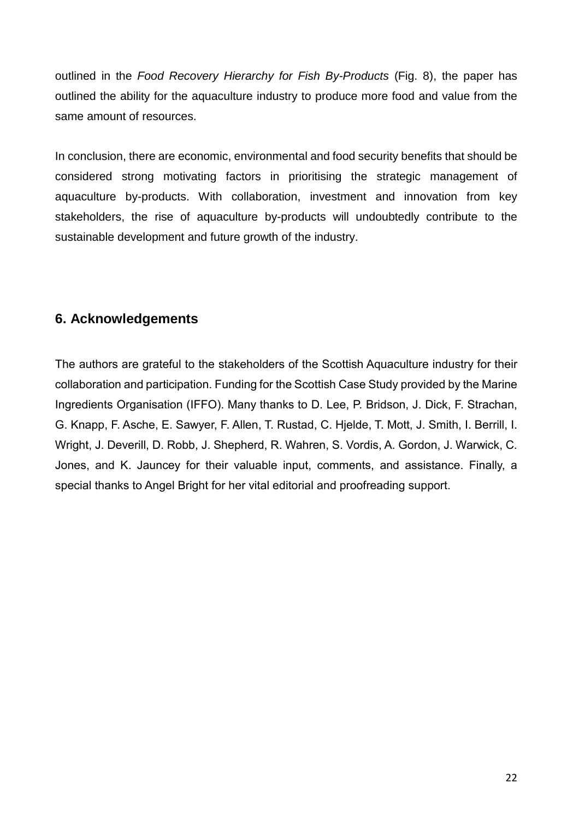outlined in the *Food Recovery Hierarchy for Fish By-Products* (Fig. 8), the paper has outlined the ability for the aquaculture industry to produce more food and value from the same amount of resources.

In conclusion, there are economic, environmental and food security benefits that should be considered strong motivating factors in prioritising the strategic management of aquaculture by-products. With collaboration, investment and innovation from key stakeholders, the rise of aquaculture by-products will undoubtedly contribute to the sustainable development and future growth of the industry.

### **6. Acknowledgements**

The authors are grateful to the stakeholders of the Scottish Aquaculture industry for their collaboration and participation. Funding for the Scottish Case Study provided by the Marine Ingredients Organisation (IFFO). Many thanks to D. Lee, P. Bridson, J. Dick, F. Strachan, G. Knapp, F. Asche, E. Sawyer, F. Allen, T. Rustad, C. Hjelde, T. Mott, J. Smith, I. Berrill, I. Wright, J. Deverill, D. Robb, J. Shepherd, R. Wahren, S. Vordis, A. Gordon, J. Warwick, C. Jones, and K. Jauncey for their valuable input, comments, and assistance. Finally, a special thanks to Angel Bright for her vital editorial and proofreading support.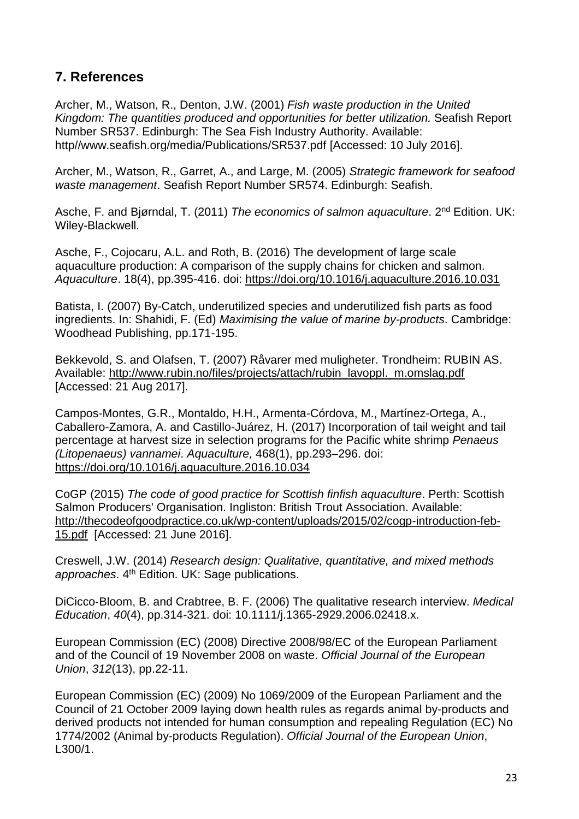# **7. References**

Archer, M., Watson, R., Denton, J.W. (2001) *Fish waste production in the United Kingdom: The quantities produced and opportunities for better utilization.* Seafish Report Number SR537. Edinburgh: The Sea Fish Industry Authority. Available: http//www.seafish.org/media/Publications/SR537.pdf [Accessed: 10 July 2016].

Archer, M., Watson, R., Garret, A., and Large, M. (2005) *Strategic framework for seafood waste management*. Seafish Report Number SR574. Edinburgh: Seafish.

Asche, F. and Bjørndal, T. (2011) *The economics of salmon aquaculture*. 2 nd Edition. UK: Wiley-Blackwell.

Asche, F., Cojocaru, A.L. and Roth, B. (2016) The development of large scale aquaculture production: A comparison of the supply chains for chicken and salmon. *Aquaculture*. 18(4), pp.395-416. doi: <https://doi.org/10.1016/j.aquaculture.2016.10.031>

Batista, I. (2007) By-Catch, underutilized species and underutilized fish parts as food ingredients. In: Shahidi, F. (Ed) *Maximising the value of marine by-products*. Cambridge: Woodhead Publishing, pp.171-195.

Bekkevold, S. and Olafsen, T. (2007) Råvarer med muligheter. Trondheim: RUBIN AS. Available: [http://www.rubin.no/files/projects/attach/rubin\\_lavoppl.\\_m.omslag.pdf](http://www.rubin.no/files/projects/attach/rubin_lavoppl._m.omslag.pdf) [Accessed: 21 Aug 2017].

Campos-Montes, G.R., Montaldo, H.H., Armenta-Córdova, M., Martínez-Ortega, A., Caballero-Zamora, A. and Castillo-Juárez, H. (2017) Incorporation of tail weight and tail percentage at harvest size in selection programs for the Pacific white shrimp *Penaeus (Litopenaeus) vannamei*. *Aquaculture,* 468(1), pp.293–296. doi: <https://doi.org/10.1016/j.aquaculture.2016.10.034>

CoGP (2015) *The code of good practice for Scottish finfish aquaculture*. Perth: Scottish Salmon Producers' Organisation. Ingliston: British Trout Association. Available: [http://thecodeofgoodpractice.co.uk/wp-content/uploads/2015/02/cogp-introduction-feb-](http://thecodeofgoodpractice.co.uk/wp-content/uploads/2015/02/cogp-introduction-feb-15.pdf)[15.pdf](http://thecodeofgoodpractice.co.uk/wp-content/uploads/2015/02/cogp-introduction-feb-15.pdf) [Accessed: 21 June 2016].

Creswell, J.W. (2014) *Research design: Qualitative, quantitative, and mixed methods* approaches. 4<sup>th</sup> Edition. UK: Sage publications.

DiCicco‐Bloom, B. and Crabtree, B. F. (2006) The qualitative research interview. *Medical Education*, *40*(4), pp.314-321. doi: 10.1111/j.1365-2929.2006.02418.x.

European Commission (EC) (2008) Directive 2008/98/EC of the European Parliament and of the Council of 19 November 2008 on waste. *Official Journal of the European Union*, *312*(13), pp.22-11.

European Commission (EC) (2009) No 1069/2009 of the European Parliament and the Council of 21 October 2009 laying down health rules as regards animal by-products and derived products not intended for human consumption and repealing Regulation (EC) No 1774/2002 (Animal by-products Regulation). *Official Journal of the European Union*, L300/1.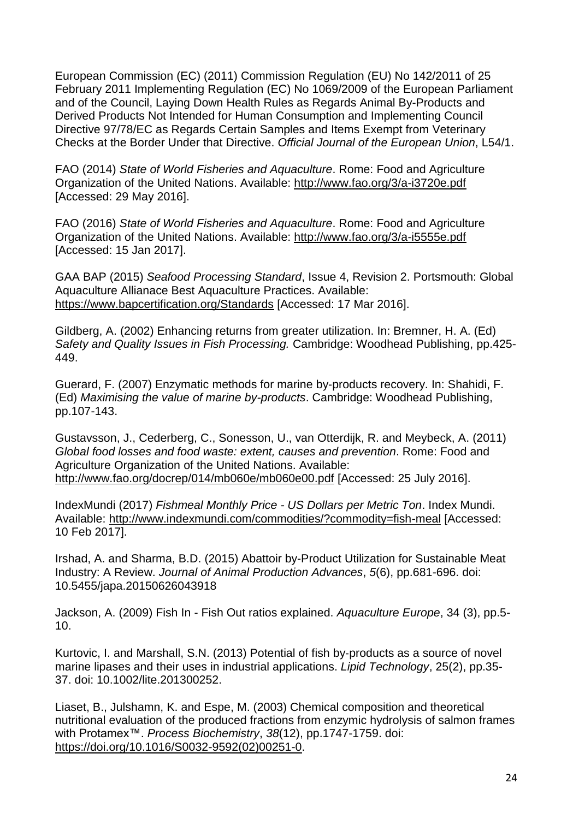European Commission (EC) (2011) Commission Regulation (EU) No 142/2011 of 25 February 2011 Implementing Regulation (EC) No 1069/2009 of the European Parliament and of the Council, Laying Down Health Rules as Regards Animal By-Products and Derived Products Not Intended for Human Consumption and Implementing Council Directive 97/78/EC as Regards Certain Samples and Items Exempt from Veterinary Checks at the Border Under that Directive. *Official Journal of the European Union*, L54/1.

FAO (2014) *State of World Fisheries and Aquaculture*. Rome: Food and Agriculture Organization of the United Nations. Available: <http://www.fao.org/3/a-i3720e.pdf> [Accessed: 29 May 2016].

FAO (2016) *State of World Fisheries and Aquaculture*. Rome: Food and Agriculture Organization of the United Nations. Available: <http://www.fao.org/3/a-i5555e.pdf> [Accessed: 15 Jan 2017].

GAA BAP (2015) *Seafood Processing Standard*, Issue 4, Revision 2. Portsmouth: Global Aquaculture Allianace Best Aquaculture Practices. Available: <https://www.bapcertification.org/Standards> [Accessed: 17 Mar 2016].

Gildberg, A. (2002) Enhancing returns from greater utilization. In: Bremner, H. A. (Ed) *Safety and Quality Issues in Fish Processing.* Cambridge: Woodhead Publishing, pp.425- 449.

Guerard, F. (2007) Enzymatic methods for marine by-products recovery. In: Shahidi, F. (Ed) *Maximising the value of marine by-products*. Cambridge: Woodhead Publishing, pp.107-143.

Gustavsson, J., Cederberg, C., Sonesson, U., van Otterdijk, R. and Meybeck, A. (2011) *Global food losses and food waste: extent, causes and prevention*. Rome: Food and Agriculture Organization of the United Nations. Available: <http://www.fao.org/docrep/014/mb060e/mb060e00.pdf> [Accessed: 25 July 2016].

IndexMundi (2017) *Fishmeal Monthly Price - US Dollars per Metric Ton*. Index Mundi. Available: <http://www.indexmundi.com/commodities/?commodity=fish-meal> [Accessed: 10 Feb 2017].

Irshad, A. and Sharma, B.D. (2015) Abattoir by-Product Utilization for Sustainable Meat Industry: A Review. *Journal of Animal Production Advances*, *5*(6), pp.681-696. doi: 10.5455/japa.20150626043918

Jackson, A. (2009) Fish In - Fish Out ratios explained. *Aquaculture Europe*, 34 (3), pp.5- 10.

Kurtovic, I. and Marshall, S.N. (2013) Potential of fish by-products as a source of novel marine lipases and their uses in industrial applications. *Lipid Technology*, 25(2), pp.35- 37. doi: 10.1002/lite.201300252.

Liaset, B., Julshamn, K. and Espe, M. (2003) Chemical composition and theoretical nutritional evaluation of the produced fractions from enzymic hydrolysis of salmon frames with Protamex™. *Process Biochemistry*, *38*(12), pp.1747-1759. doi: [https://doi.org/10.1016/S0032-9592\(02\)00251-0.](https://doi.org/10.1016/S0032-9592(02)00251-0)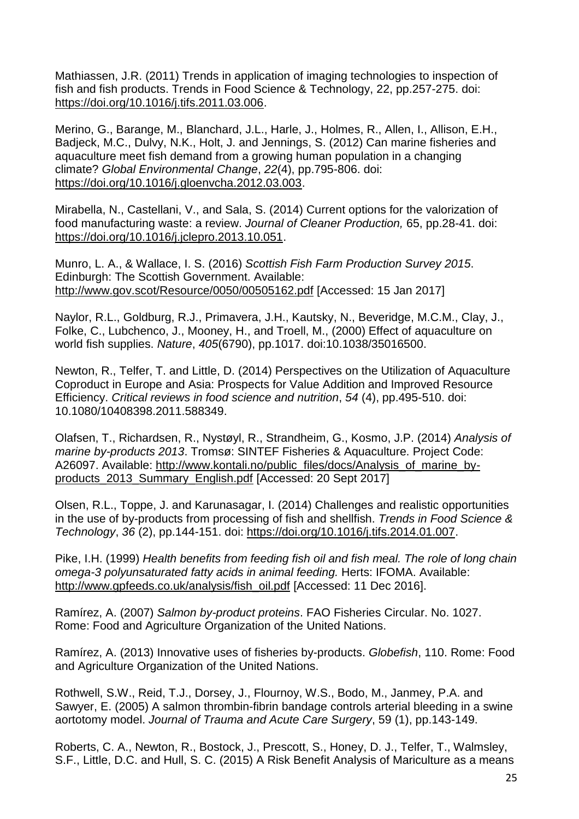Mathiassen, J.R. (2011) Trends in application of imaging technologies to inspection of fish and fish products. Trends in Food Science & Technology, 22, pp.257-275. doi: [https://doi.org/10.1016/j.tifs.2011.03.006.](https://doi.org/10.1016/j.tifs.2011.03.006)

Merino, G., Barange, M., Blanchard, J.L., Harle, J., Holmes, R., Allen, I., Allison, E.H., Badjeck, M.C., Dulvy, N.K., Holt, J. and Jennings, S. (2012) Can marine fisheries and aquaculture meet fish demand from a growing human population in a changing climate? *Global Environmental Change*, *22*(4), pp.795-806. doi: [https://doi.org/10.1016/j.gloenvcha.2012.03.003.](https://doi.org/10.1016/j.gloenvcha.2012.03.003)

Mirabella, N., Castellani, V., and Sala, S. (2014) Current options for the valorization of food manufacturing waste: a review. *Journal of Cleaner Production,* 65, pp.28-41. doi: [https://doi.org/10.1016/j.jclepro.2013.10.051.](https://doi.org/10.1016/j.jclepro.2013.10.051)

Munro, L. A., & Wallace, I. S. (2016) *Scottish Fish Farm Production Survey 2015*. Edinburgh: The Scottish Government. Available: <http://www.gov.scot/Resource/0050/00505162.pdf> [Accessed: 15 Jan 2017]

Naylor, R.L., Goldburg, R.J., Primavera, J.H., Kautsky, N., Beveridge, M.C.M., Clay, J., Folke, C., Lubchenco, J., Mooney, H., and Troell, M., (2000) Effect of aquaculture on world fish supplies. *Nature*, *405*(6790), pp.1017. doi:10.1038/35016500.

Newton, R., Telfer, T. and Little, D. (2014) Perspectives on the Utilization of Aquaculture Coproduct in Europe and Asia: Prospects for Value Addition and Improved Resource Efficiency. *Critical reviews in food science and nutrition*, *54* (4), pp.495-510. doi: 10.1080/10408398.2011.588349.

Olafsen, T., Richardsen, R., Nystøyl, R., Strandheim, G., Kosmo, J.P. (2014) *Analysis of marine by-products 2013*. Tromsø: SINTEF Fisheries & Aquaculture. Project Code: A26097. Available: [http://www.kontali.no/public\\_files/docs/Analysis\\_of\\_marine\\_by](http://www.kontali.no/public_files/docs/Analysis_of_marine_by-products_2013_Summary_English.pdf)[products\\_2013\\_Summary\\_English.pdf](http://www.kontali.no/public_files/docs/Analysis_of_marine_by-products_2013_Summary_English.pdf) [Accessed: 20 Sept 2017]

Olsen, R.L., Toppe, J. and Karunasagar, I. (2014) Challenges and realistic opportunities in the use of by-products from processing of fish and shellfish. *Trends in Food Science & Technology*, *36* (2), pp.144-151. doi: [https://doi.org/10.1016/j.tifs.2014.01.007.](https://doi.org/10.1016/j.tifs.2014.01.007)

Pike, I.H. (1999) *Health benefits from feeding fish oil and fish meal. The role of long chain omega-3 polyunsaturated fatty acids in animal feeding.* Herts: IFOMA. Available: [http://www.gpfeeds.co.uk/analysis/fish\\_oil.pdf](http://www.gpfeeds.co.uk/analysis/fish_oil.pdf) [Accessed: 11 Dec 2016].

Ramírez, A. (2007) *Salmon by-product proteins*. FAO Fisheries Circular. No. 1027. Rome: Food and Agriculture Organization of the United Nations.

Ramírez, A. (2013) Innovative uses of fisheries by-products. *Globefish*, 110. Rome: Food and Agriculture Organization of the United Nations.

Rothwell, S.W., Reid, T.J., Dorsey, J., Flournoy, W.S., Bodo, M., Janmey, P.A. and Sawyer, E. (2005) A salmon thrombin-fibrin bandage controls arterial bleeding in a swine aortotomy model. *Journal of Trauma and Acute Care Surgery*, 59 (1), pp.143-149.

Roberts, C. A., Newton, R., Bostock, J., Prescott, S., Honey, D. J., Telfer, T., Walmsley, S.F., Little, D.C. and Hull, S. C. (2015) A Risk Benefit Analysis of Mariculture as a means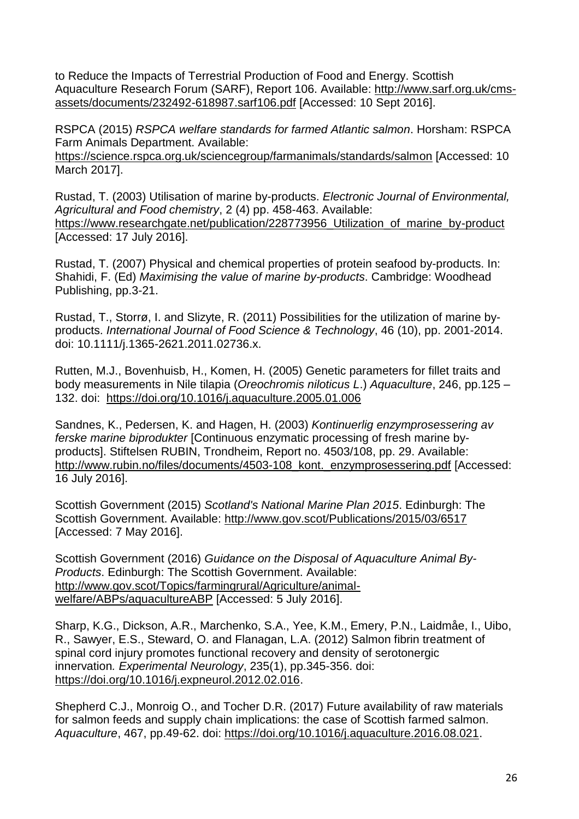to Reduce the Impacts of Terrestrial Production of Food and Energy. Scottish Aquaculture Research Forum (SARF), Report 106. Available: [http://www.sarf.org.uk/cms](http://www.sarf.org.uk/cms-assets/documents/232492-618987.sarf106.pdf)[assets/documents/232492-618987.sarf106.pdf](http://www.sarf.org.uk/cms-assets/documents/232492-618987.sarf106.pdf) [Accessed: 10 Sept 2016].

RSPCA (2015) *RSPCA welfare standards for farmed Atlantic salmon*. Horsham: RSPCA Farm Animals Department. Available:

<https://science.rspca.org.uk/sciencegroup/farmanimals/standards/salmon> [Accessed: 10 March 2017].

Rustad, T. (2003) Utilisation of marine by-products. *Electronic Journal of Environmental, Agricultural and Food chemistry*, 2 (4) pp. 458-463. Available: https://www.researchgate.net/publication/228773956 Utilization of marine by-product [Accessed: 17 July 2016].

Rustad, T. (2007) Physical and chemical properties of protein seafood by-products. In: Shahidi, F. (Ed) *Maximising the value of marine by-products*. Cambridge: Woodhead Publishing, pp.3-21.

Rustad, T., Storrø, I. and Slizyte, R. (2011) Possibilities for the utilization of marine byproducts. *International Journal of Food Science & Technology*, 46 (10), pp. 2001-2014. doi: 10.1111/j.1365-2621.2011.02736.x.

Rutten, M.J., Bovenhuisb, H., Komen, H. (2005) Genetic parameters for fillet traits and body measurements in Nile tilapia (*Oreochromis niloticus L*.) *Aquaculture*, 246, pp.125 – 132. doi: <https://doi.org/10.1016/j.aquaculture.2005.01.006>

Sandnes, K., Pedersen, K. and Hagen, H. (2003) *Kontinuerlig enzymprosessering av ferske marine biprodukter* [Continuous enzymatic processing of fresh marine byproducts]. Stiftelsen RUBIN, Trondheim, Report no. 4503/108, pp. 29. Available: [http://www.rubin.no/files/documents/4503-108\\_kont.\\_enzymprosessering.pdf](http://www.rubin.no/files/documents/4503-108_kont._enzymprosessering.pdf) [Accessed: 16 July 2016].

Scottish Government (2015) *Scotland's National Marine Plan 2015*. Edinburgh: The Scottish Government. Available: <http://www.gov.scot/Publications/2015/03/6517> [Accessed: 7 May 2016].

Scottish Government (2016) *Guidance on the Disposal of Aquaculture Animal By-Products*. Edinburgh: The Scottish Government. Available: [http://www.gov.scot/Topics/farmingrural/Agriculture/animal](http://www.gov.scot/Topics/farmingrural/Agriculture/animal-welfare/ABPs/aquacultureABP)[welfare/ABPs/aquacultureABP](http://www.gov.scot/Topics/farmingrural/Agriculture/animal-welfare/ABPs/aquacultureABP) [Accessed: 5 July 2016].

Sharp, K.G., Dickson, A.R., Marchenko, S.A., Yee, K.M., Emery, P.N., Laidmåe, I., Uibo, R., Sawyer, E.S., Steward, O. and Flanagan, L.A. (2012) Salmon fibrin treatment of spinal cord injury promotes functional recovery and density of serotonergic innervation*. Experimental Neurology*, 235(1), pp.345-356. doi: [https://doi.org/10.1016/j.expneurol.2012.02.016.](https://doi.org/10.1016/j.expneurol.2012.02.016)

Shepherd C.J., Monroig O., and Tocher D.R. (2017) Future availability of raw materials for salmon feeds and supply chain implications: the case of Scottish farmed salmon. *Aquaculture*, 467, pp.49-62. doi: [https://doi.org/10.1016/j.aquaculture.2016.08.021.](https://doi.org/10.1016/j.aquaculture.2016.08.021)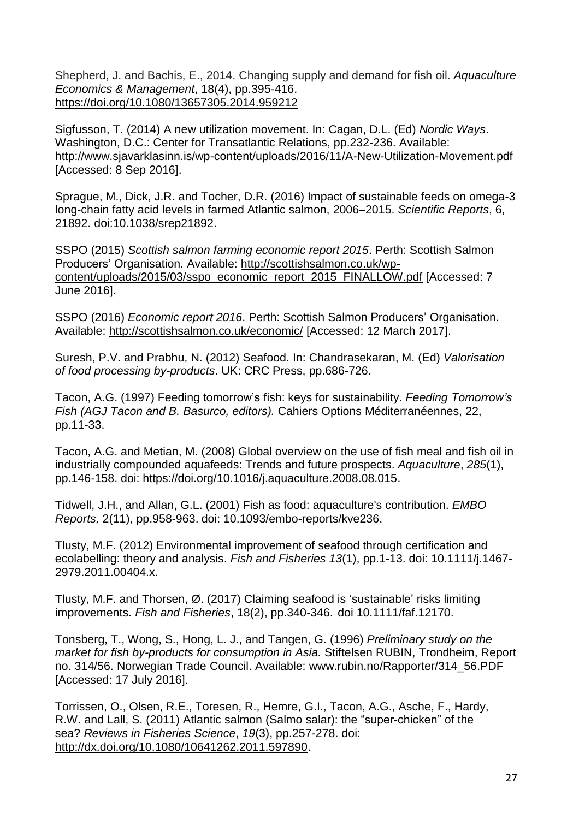Shepherd, J. and Bachis, E., 2014. Changing supply and demand for fish oil. *Aquaculture Economics & Management*, 18(4), pp.395-416. <https://doi.org/10.1080/13657305.2014.959212>

Sigfusson, T. (2014) A new utilization movement. In: Cagan, D.L. (Ed) *Nordic Ways*. Washington, D.C.: Center for Transatlantic Relations, pp.232-236. Available: <http://www.sjavarklasinn.is/wp-content/uploads/2016/11/A-New-Utilization-Movement.pdf> [Accessed: 8 Sep 2016].

Sprague, M., Dick, J.R. and Tocher, D.R. (2016) Impact of sustainable feeds on omega-3 long-chain fatty acid levels in farmed Atlantic salmon, 2006–2015. *Scientific Reports*, 6, 21892. doi:10.1038/srep21892.

SSPO (2015) *Scottish salmon farming economic report 2015*. Perth: Scottish Salmon Producers' Organisation. Available: [http://scottishsalmon.co.uk/wp](http://scottishsalmon.co.uk/wp-content/uploads/2015/03/sspo_economic_report_2015_FINALLOW.pdf)[content/uploads/2015/03/sspo\\_economic\\_report\\_2015\\_FINALLOW.pdf](http://scottishsalmon.co.uk/wp-content/uploads/2015/03/sspo_economic_report_2015_FINALLOW.pdf) [Accessed: 7 June 2016].

SSPO (2016) *Economic report 2016*. Perth: Scottish Salmon Producers' Organisation. Available: <http://scottishsalmon.co.uk/economic/> [Accessed: 12 March 2017].

Suresh, P.V. and Prabhu, N. (2012) Seafood. In: Chandrasekaran, M. (Ed) *Valorisation of food processing by-products*. UK: CRC Press, pp.686-726.

Tacon, A.G. (1997) Feeding tomorrow's fish: keys for sustainability. *Feeding Tomorrow's Fish (AGJ Tacon and B. Basurco, editors).* Cahiers Options Méditerranéennes, 22, pp.11-33.

Tacon, A.G. and Metian, M. (2008) Global overview on the use of fish meal and fish oil in industrially compounded aquafeeds: Trends and future prospects. *Aquaculture*, *285*(1), pp.146-158. doi: [https://doi.org/10.1016/j.aquaculture.2008.08.015.](https://doi.org/10.1016/j.aquaculture.2008.08.015)

Tidwell, J.H., and Allan, G.L. (2001) Fish as food: aquaculture's contribution. *EMBO Reports,* 2(11), pp.958-963. doi: 10.1093/embo-reports/kve236.

Tlusty, M.F. (2012) Environmental improvement of seafood through certification and ecolabelling: theory and analysis. *Fish and Fisheries 13*(1), pp.1-13. doi: 10.1111/j.1467- 2979.2011.00404.x.

Tlusty, M.F. and Thorsen, Ø. (2017) Claiming seafood is 'sustainable' risks limiting improvements. *Fish and Fisheries*, 18(2), pp.340-346. doi 10.1111/faf.12170.

Tonsberg, T., Wong, S., Hong, L. J., and Tangen, G. (1996) *Preliminary study on the market for fish by-products for consumption in Asia.* Stiftelsen RUBIN, Trondheim, Report no. 314/56. Norwegian Trade Council. Available: [www.rubin.no/Rapporter/314\\_56.PDF](http://www.rubin.no/Rapporter/314_56.PDF) [Accessed: 17 July 2016].

Torrissen, O., Olsen, R.E., Toresen, R., Hemre, G.I., Tacon, A.G., Asche, F., Hardy, R.W. and Lall, S. (2011) Atlantic salmon (Salmo salar): the "super-chicken" of the sea? *Reviews in Fisheries Science*, *19*(3), pp.257-278. doi: [http://dx.doi.org/10.1080/10641262.2011.597890.](http://dx.doi.org/10.1080/10641262.2011.597890)